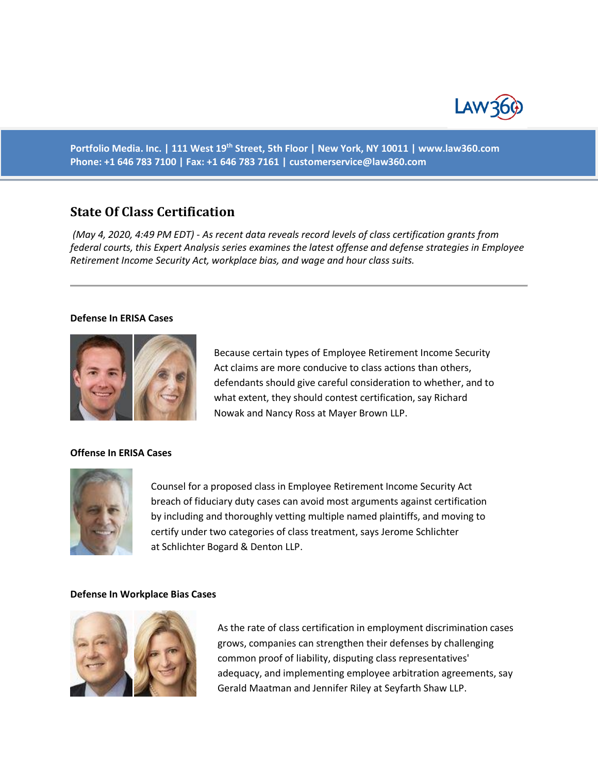

**Portfolio Media. Inc. | 111 West 19th Street, 5th Floor | New York, NY 10011 | www.law360.com Phone: +1 646 783 7100 | Fax: +1 646 783 7161 | [customerservice@law360.com](mailto:customerservice@law360.com)**

# **State Of Class Certification**

*(May 4, 2020, 4:49 PM EDT) - As recent data reveals record levels of class certification grants from federal courts, this Expert Analysis series examines the latest offense and defense strategies in Employee Retirement Income Security Act, workplace bias, and wage and hour class suits.*

#### **Defense In ERISA Cases**



Because certain types of Employee Retirement Income Security Act claims are more conducive to class actions than others, defendants should give careful consideration to whether, and to what extent, they should contest certification, say Richard Nowak and Nancy Ross at Mayer Brown LLP.

## **Offense In ERISA Cases**



Counsel for a proposed class in Employee Retirement Income Security Act breach of fiduciary duty cases can avoid most arguments against certification by including and thoroughly vetting multiple named plaintiffs, and moving to certify under two categories of class treatment, says Jerome Schlichter at Schlichter Bogard & Denton LLP.

#### **Defense In Workplace Bias Cases**



As the rate of class certification in employment discrimination cases grows, companies can strengthen their defenses by challenging common proof of liability, disputing class representatives' adequacy, and implementing employee arbitration agreements, say Gerald Maatman and Jennifer Riley at Seyfarth Shaw LLP.